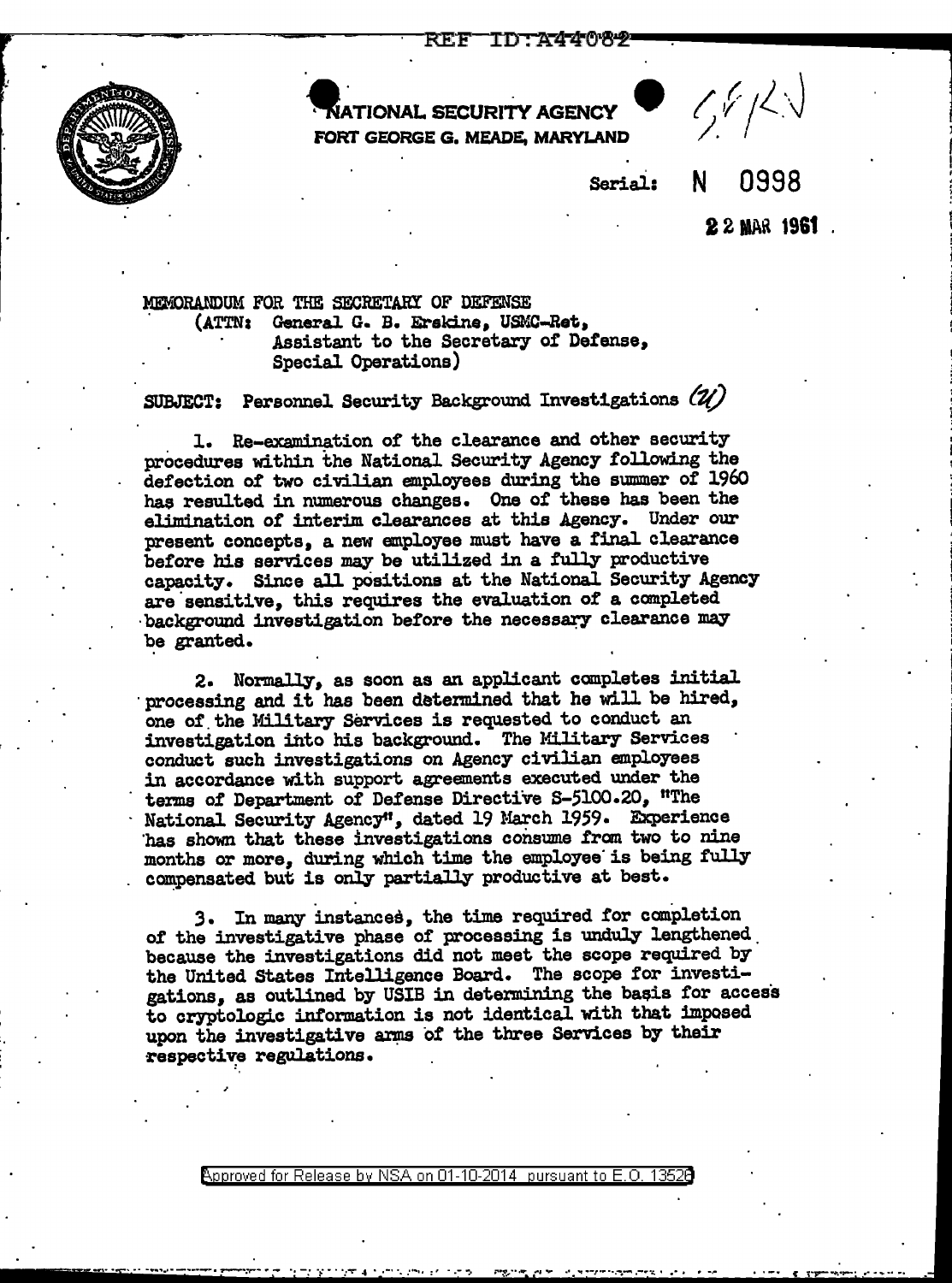

·~~TIONAL SECURITY AGENCY • *() ,f* ;l\_\_.-.j FORT GEORGE G. MEADE, MARYLAND

Serial: N 0998

**22 MAR 1961**.

MEMORANDUM FOR THE SECRETARY OF DEFENSE . (ATTN: General G. B. Erskine, USMC-Ret, Assistant to the Secretary of Defense, Special Operations)

SUBJECT: Personnel Security Background Investigations *(10* 

l. Re-examination of the clearance and other security procedures within the National Security Agency following the defection *ot* two civilian employees during the smnmer of 1960 hae resulted in numerous changes. One of these has been the elimination of interim clearances at this Agency. Under our present concepts, a new employee must have a final clearance before his services may be utilized in a fully productive capacity. Since all p0sitions at the National Security Agency are'sensitive, this requires the evaluation *ot* a completed background investigation before the necessary clearance may be granted.

2. Normally, as soon as an applicant completes initial processing and it has been determined that he will be hired, one of. the Military services is requested to conduct an investigation into his background. The Military Services conduct such investigations on Agency civilian employees in accordance with support agreements executed under the terms of Department of Defense Directive S-5100.20, "The National Security Agencyt', dated 19 March 1959· Experience has shown that these investigations consume from two to nine months or more, during which time the employee is being fully compensated but is only partially productive at best.

3. In many instances, the time required for completion of the investigative phase of processing is unduly lengthened. because the investigations did not meet the scope required by the United States Intelligence Board. The scope for investigations, as outlined by USIB in determining the basis for access to cryptologic information is not identical with that imposed upon the investigative arms of the three Services by their respective regulations.

 $R$ pproved for Release by NSA on 01-10-2014 pursuant to E.O. 1352 $\Theta$ 

<u>i sa sa kama ta kasa ng katabang ang kasa ng kabupat ng kasang na kasa ng kasa ng kasa ng kasa ng panahang ng m</u>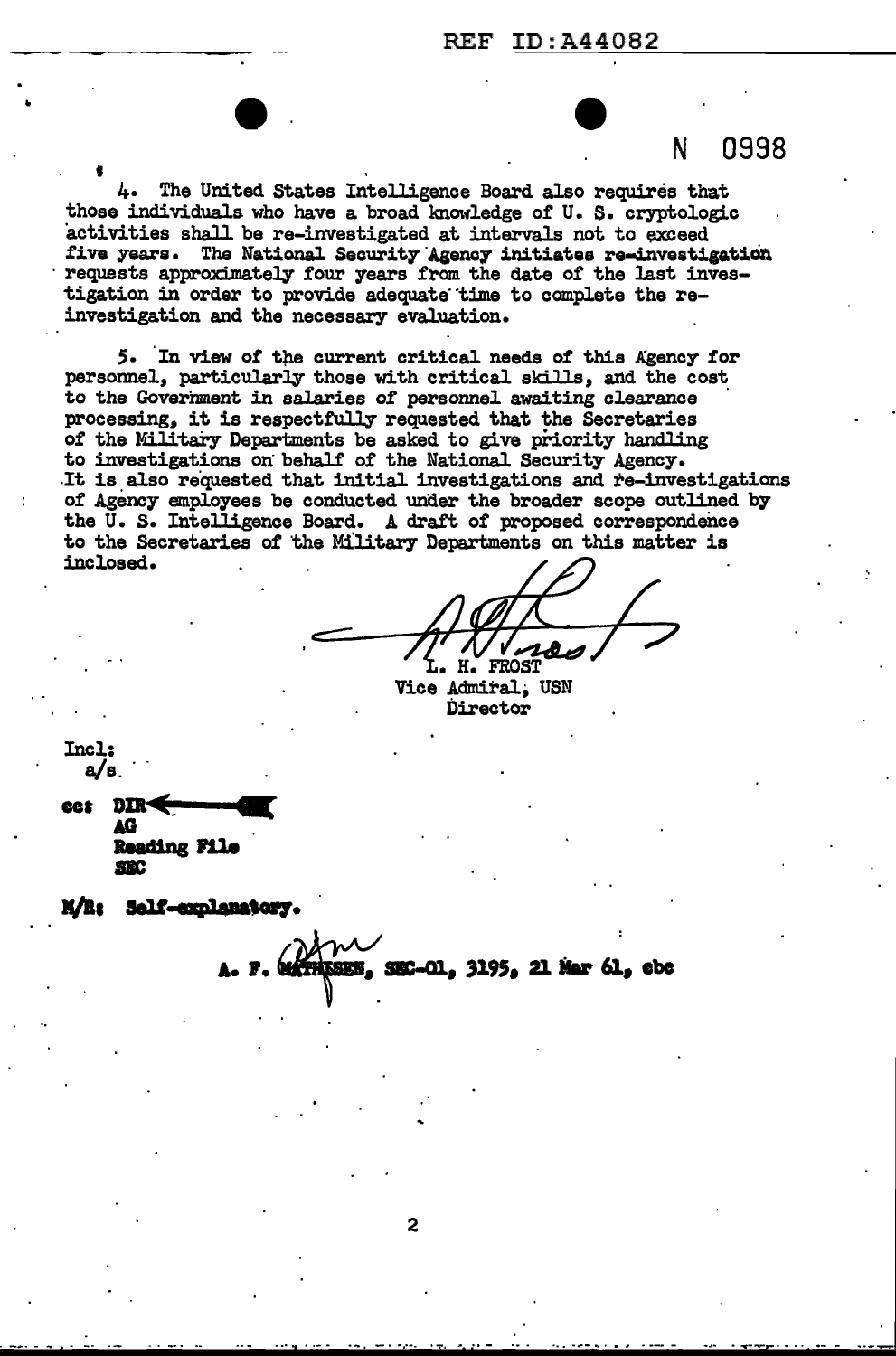N 0998

• 4. The United States Intelligence Board also requires that those individuals who have a broad lmowledge of U. s. cryptologic activities shall be re-investigated at intervals not to exceed five years. The National Security Agency initiates re-investigation requests approximately four years from the date of the last investigation in order to provide adequate time to complete the reinvestigation and the necessary evaluation.

 $\bullet$ .

5. In view of the current critical needs of this Agency for personnel, particularly those with critical skills, and the cost to the Government in salaries of personnel awaiting clearance processing, it is respectfully requested that the Secretaries of the Military Departments be asked to give priority handling to investigations on behalf of the National Security Agency. It is also requested that initial investigations and re-investigations of Agency employees be conducted under the broader scope outlined by the U.S. Intelligence Board. A draft of proposed correspondence to the Secretaries of 'the Military Departments on this matter is inclosed.

Н. FROST

Vice Admiral, USN Director

Incl: a/s ...

 $\frac{d}{d}$  bin  $\leftarrow$ **Din<br>AG Reading File<br>SEC<br>Self-explanate** 

II/I• **Self-conlanstory.** 

SEN. SEC-01, 3195, 21 Mar 61, ebc.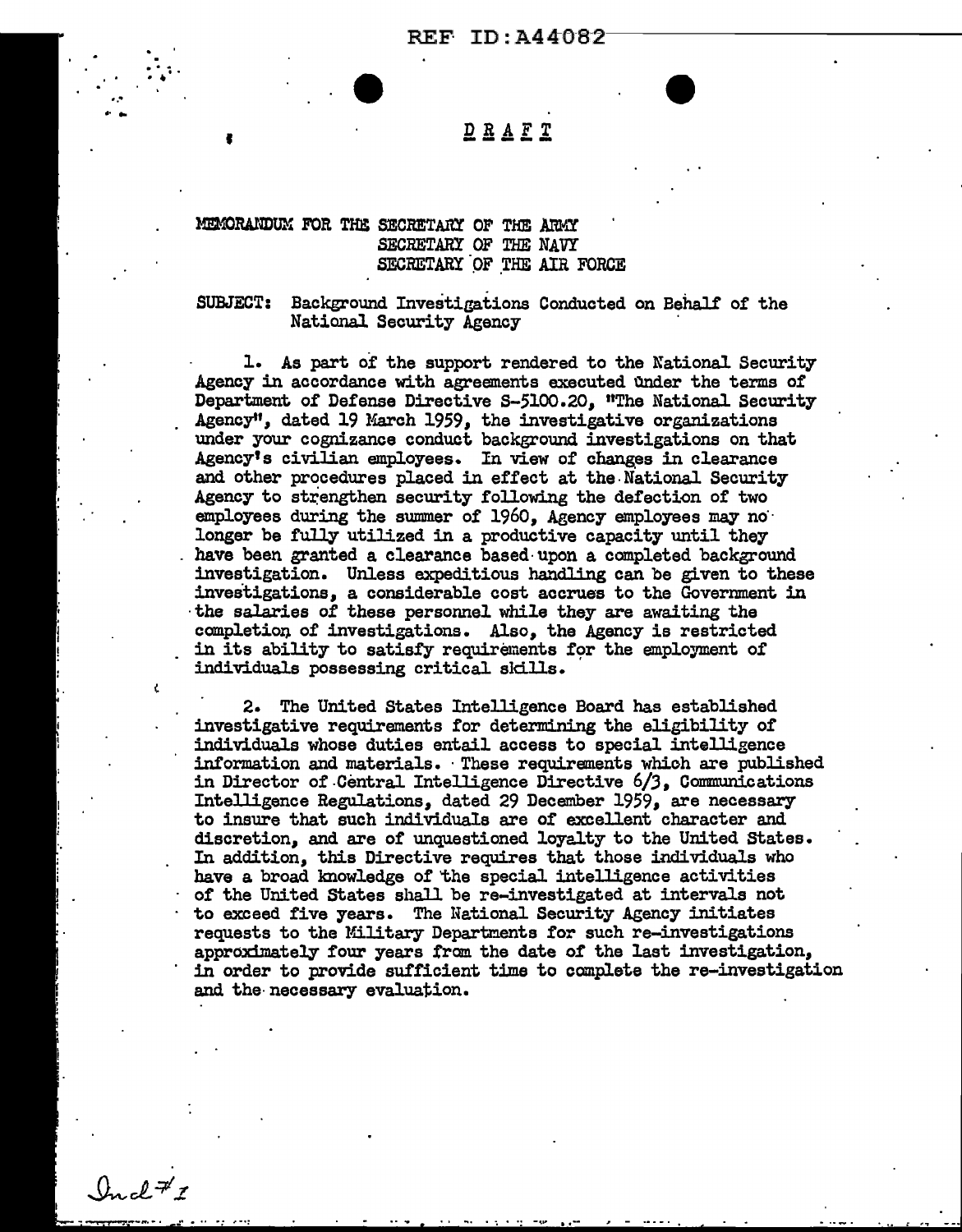# $D R A E T$

## MEMORANDUM FOR THE SECRETARY OF THE ARMY SECRETARY OF THE NAVY SECRETARY OF THE AIR FORCE

**SUBJECT:** Background Investigations Conducted on Behalf of the National Security Agency

1. As part of the support rendered to the National Security Agency in accordance with agreements executed under the terms of Department of Defense Directive S-5100.20. "The National Security Agency", dated 19 March 1959, the investigative organizations under your cognizance conduct background investigations on that Agency's civilian employees. In view of changes in clearance and other procedures placed in effect at the National Security Agency to strengthen security following the defection of two employees during the summer of 1960. Agency employees may no longer be fully utilized in a productive capacity until they have been granted a clearance based upon a completed background investigation. Unless expeditious handling can be given to these investigations, a considerable cost accrues to the Government in the salaries of these personnel while they are awaiting the completion of investigations. Also, the Agency is restricted in its ability to satisfy requirements for the employment of individuals possessing critical skills.

2. The United States Intelligence Board has established investigative requirements for determining the eligibility of individuals whose duties entail access to special intelligence information and materials. These requirements which are published in Director of Central Intelligence Directive 6/3, Communications Intelligence Regulations, dated 29 December 1959, are necessary to insure that such individuals are of excellent character and discretion, and are of unquestioned loyalty to the United States. In addition, this Directive requires that those individuals who have a broad knowledge of the special intelligence activities of the United States shall be re-investigated at intervals not to exceed five years. The National Security Agency initiates requests to the Military Departments for such re-investigations approximately four years from the date of the last investigation, in order to provide sufficient time to complete the re-investigation and the necessary evaluation.

 $0$ ugh<sup>7</sup>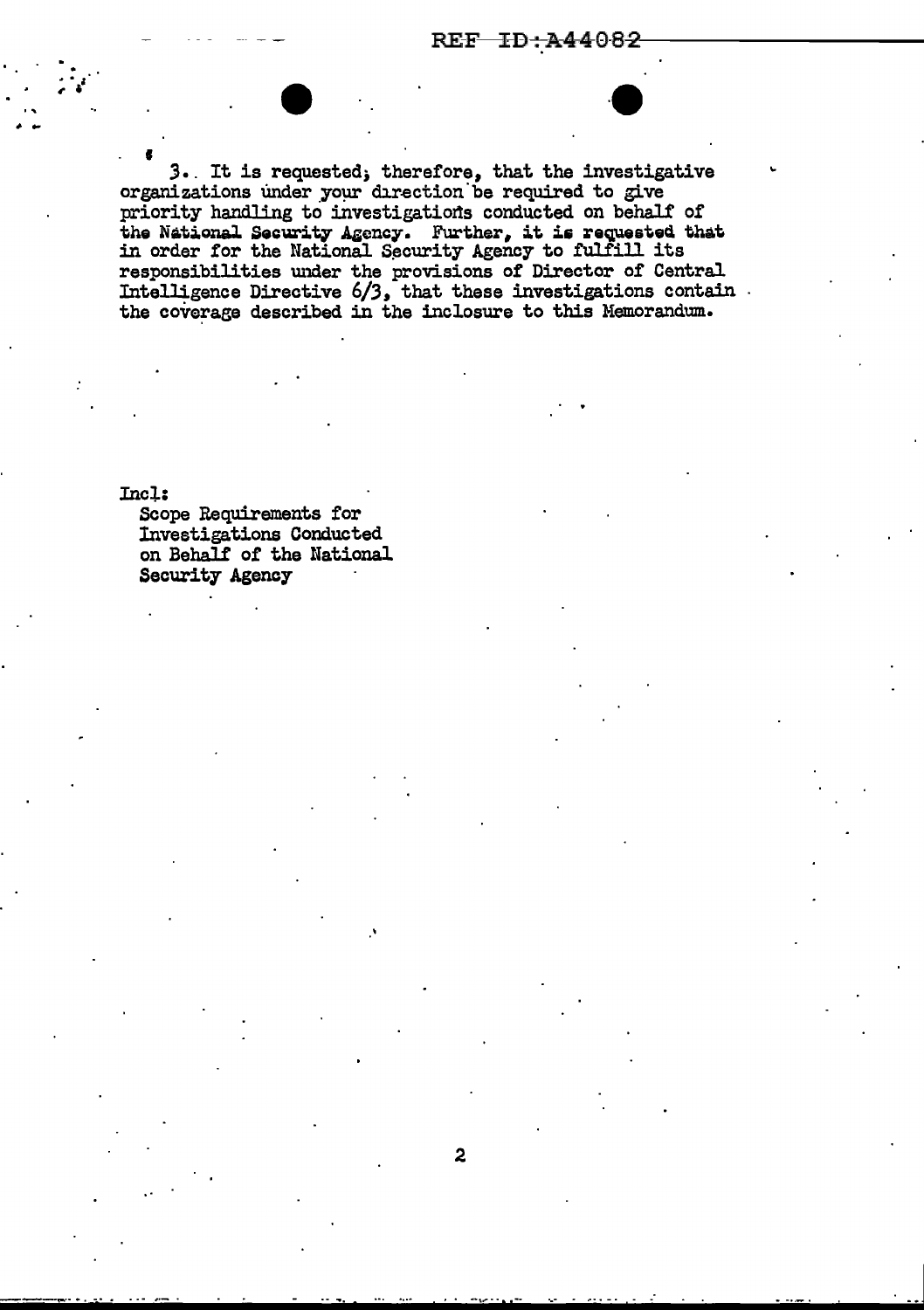REF ID:A44082

3. It is requested; therefore, that the investigative organizations under your direction be required to give priority handling to investigations conducted on behalf of the National Security Agency. Further, it is requested that in order for the National Security Agency to fulfill its responsibilities under the provisions of Director of Central Intelligence Directive 6/3, that these investigations contain. the coverage described in the inclosure to this Memorandum.

 $\overline{\mathbf{c}}$ 

Incl:

Scope Requirements for Investigations Conducted on Behalf of the National Security Agency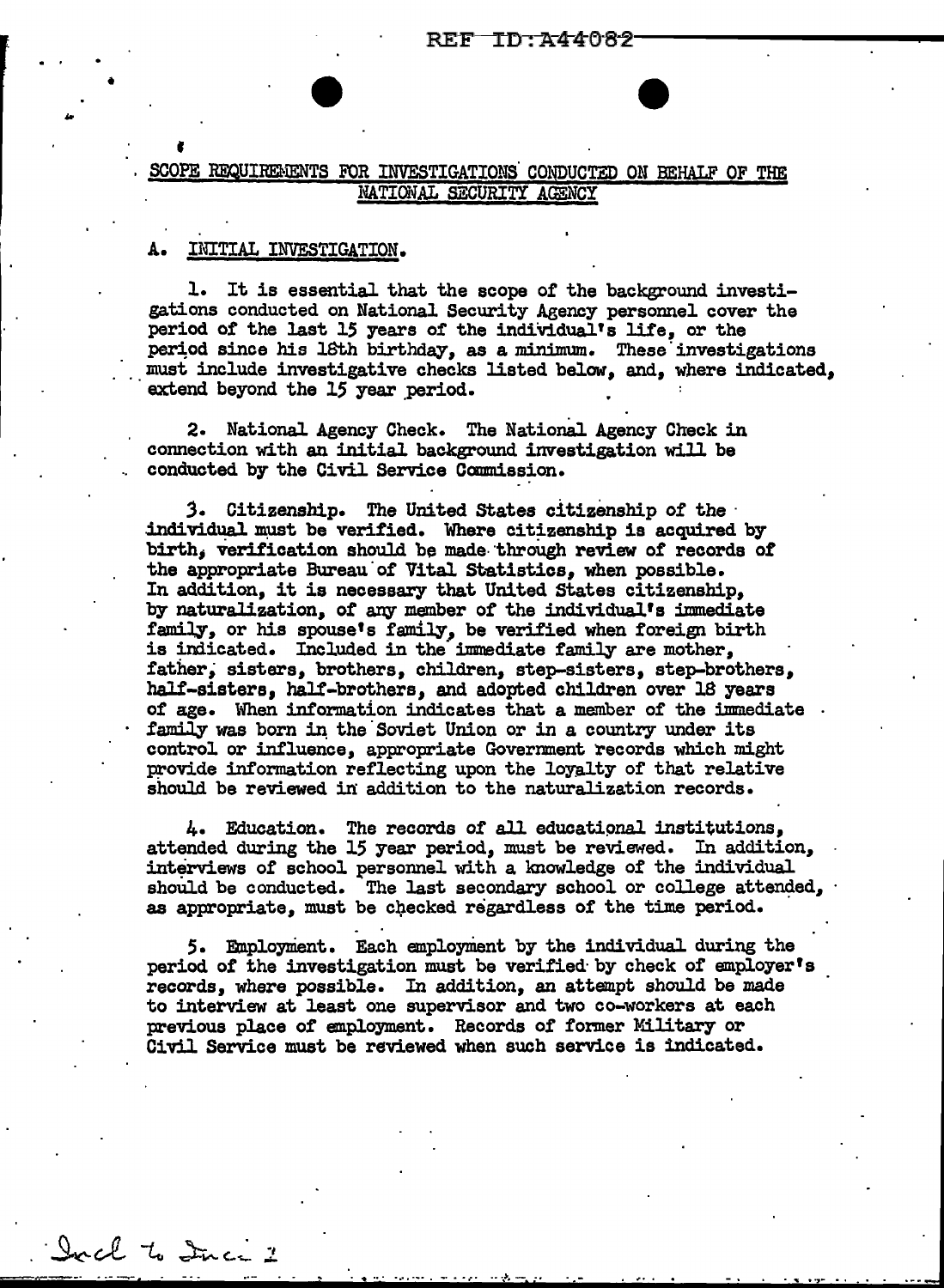## SCOPE REQUIREMENTS FOR INVESTIGATIONS CONDUCTED ON BEHALF OF THE NATIONAL SECURITY AGENCY

#### A. INITIAL INVESTIGATION.

•

1. It is essential that the scope of the background investigations conducted on National Security Agency personnel cover the period of the last 15 years of the individual's life, or the period since his lôth birthday, as a minimum. These investigations ... must include investigative checks listed below, and, where indicated, extend beyond the 15 year period.

2. National Agency Check. The National Agency Check in connection with an initial background investigation will be conducted by the Civil Service Commission.

3. Citizenship. The United States citizenship of the **·** individual must be verified. Where citizenship is acquired by birth, verification should be made through review of records of the appropriate Bureau of Vital Statistics, when possible. In addition, it is necessary that United States citizenship, by naturalization, of any member of the individual's immediate family, or his spouse's family, be verified when foreign birth is indicated. Included in the immediate family are mother, father; sisters, brothers, children, step-sisters, step-brothers, half-sisters, half-brothers, and adopted children over l8 years of age. When information indicates that a member of the imnediate family was born in the Soviet Union or in a country under its control or influence, appropriate Government records which might provide information reflecting upon the loyalty of that relative should be reviewed in addition to the naturalization records.

4. Education. The records of all educational institutions. attended during the 15 year period, must be reviewed. In addition, interviews of school personnel with a knowledge of the individual should be conducted. The last secondary school or college attended, as appropriate, must be checked regardless of the time period.

5. Employment. Each employment by the individual during the period of the investigation must be verified· by check of employer's records, where possible. In addition, an attempt should be made to interview at least one supervisor and two co-workers at each previous place of employment. Records of former Military or Civil Service must be reviewed when such service is indicated.

.. . . ............. {'. .. -.. ~- ··- .. . . "" . -~.. . . . . .

Ircl to Inci 2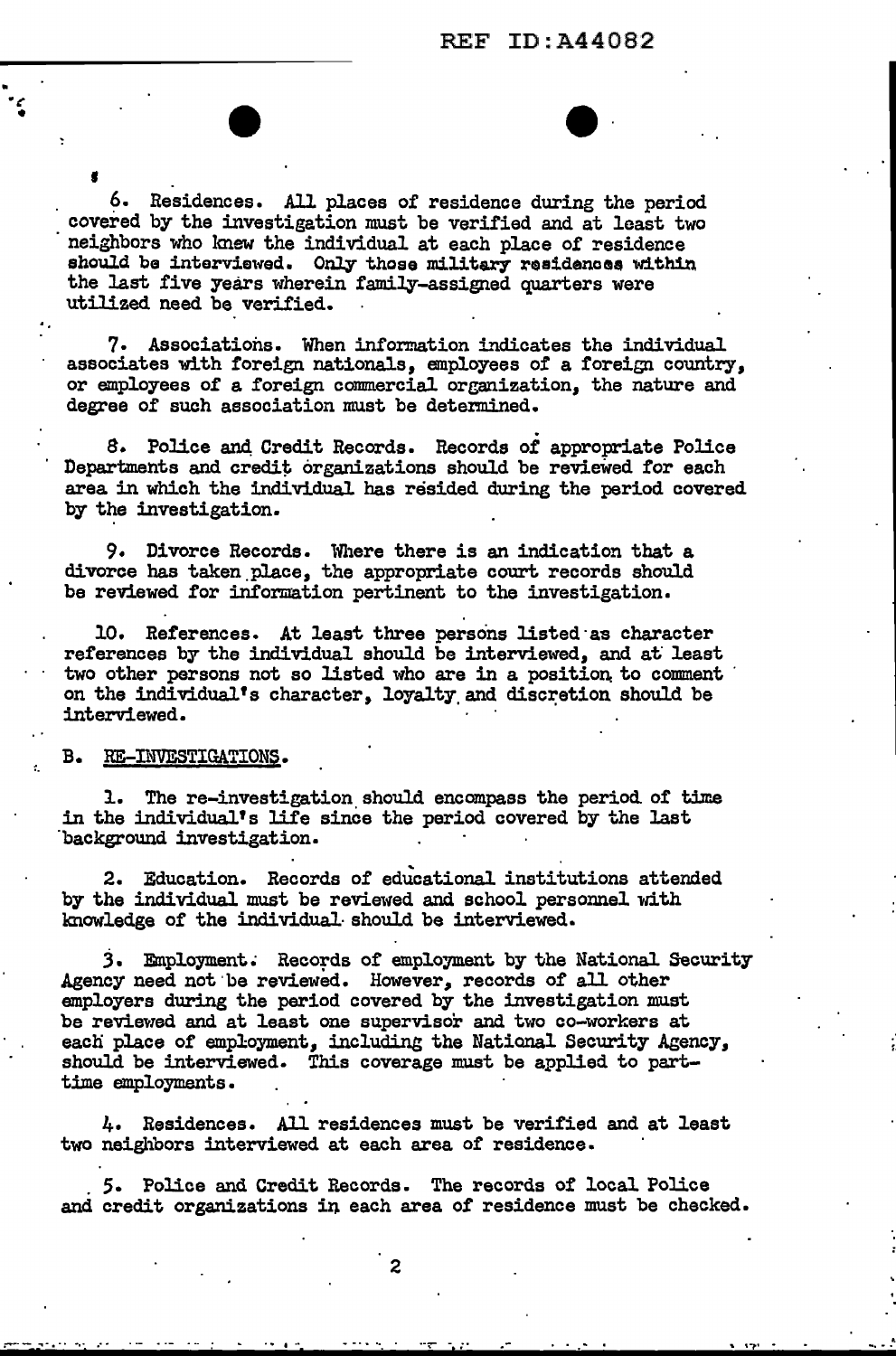6. Residences. All places of residence during the period covered by the investigation must be verified and at least two neighbors who knew the individual at each place of residence should be interviewed. Only those military residences within the last five years wherein family-assigned quarters were utilized need be verified.

7. Associations. When information indicates the individual associates with foreign nationals, employees of a foreign country, or employees of a foreign commercial organization, the nature and degree of such association must be determined.

S. Police and, Credit Records. Records of appropriate Police Departments and credit organizations should be reviewed for each area in which the individual has resided during the period covered by the investigation.

9. Divorce Records. Where there is an indication that a divorce has taken.place, the appropriate court records should be reviewed for information pertinent to the investigation.

10. References. At least three persons listed·as character references by the individual should be interviewed, and at least two other persons not so listed who are in a position to comment on the individual's character, loyalty and discretion should be interviewed. ·

#### B. RE-IMVESTIGATIONS.

•

1. The re-investigation should encompass the period of time in the individual's life since the period covered by the last background investigation.

2. Education. Records of educational institutions attended by the individual must be reviewed and school personnel with knowledge of the individual· should be interviewed.

3. Employment. Records of employment by the National Security Agency need not be reviewed. However, records of all other employers during the period covered by the investigation must be reviewed and at least one supervisor and two co-workers at each place of employment, including the National Security Agency, should be interviewed. This coverage must be applied to parttime employments.

4. Residences. All residences must be verified and at least two neighbors interviewed at each area of residence •

. 5. Police and Credit Records. The records of local PoJice and credit organizations in each area of residence must be checked.

<sup>~</sup>.. -- ........... . ..... ··;,- .- .. , .. ,.. -